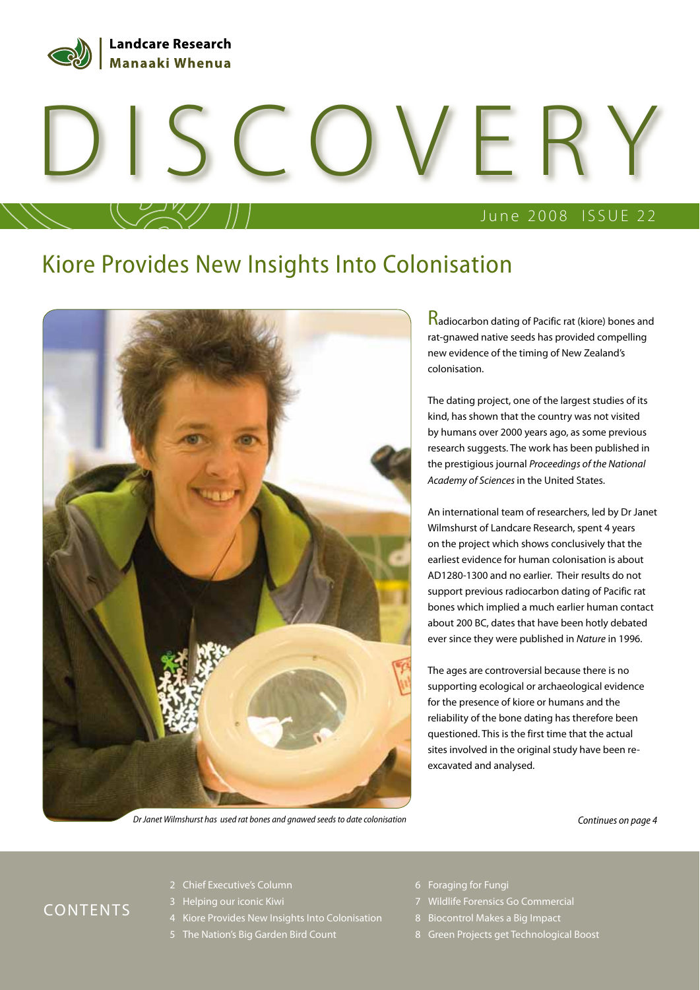

# DISCOVERY

## June 2008 ISSUE 22

## Kiore Provides New Insights Into Colonisation



**Radiocarbon dating of Pacific rat (kiore) bones and** rat-gnawed native seeds has provided compelling new evidence of the timing of New Zealand's colonisation.

The dating project, one of the largest studies of its kind, has shown that the country was not visited by humans over 2000 years ago, as some previous research suggests. The work has been published in the prestigious journal Proceedings of the National Academy of Sciences in the United States.

An international team of researchers, led by Dr Janet Wilmshurst of Landcare Research, spent 4 years on the project which shows conclusively that the earliest evidence for human colonisation is about AD1280-1300 and no earlier. Their results do not support previous radiocarbon dating of Pacific rat bones which implied a much earlier human contact about 200 BC, dates that have been hotly debated ever since they were published in Nature in 1996.

The ages are controversial because there is no supporting ecological or archaeological evidence for the presence of kiore or humans and the reliability of the bone dating has therefore been questioned. This is the first time that the actual sites involved in the original study have been reexcavated and analysed.

Dr Janet Wilmshurst has used rat bones and gnawed seeds to date colonisation Continues on page 4

## CONTENTS

- 2 Chief Executive's Column
- 3 Helping our iconic Kiwi
- 4 Kiore Provides New Insights Into Colonisation
- 5 The Nation's Big Garden Bird Count
- 6 Foraging for Fungi
- 7 Wildlife Forensics Go Commercial
- 8 Biocontrol Makes a Big Impact
- 8 Green Projects get Technological Boost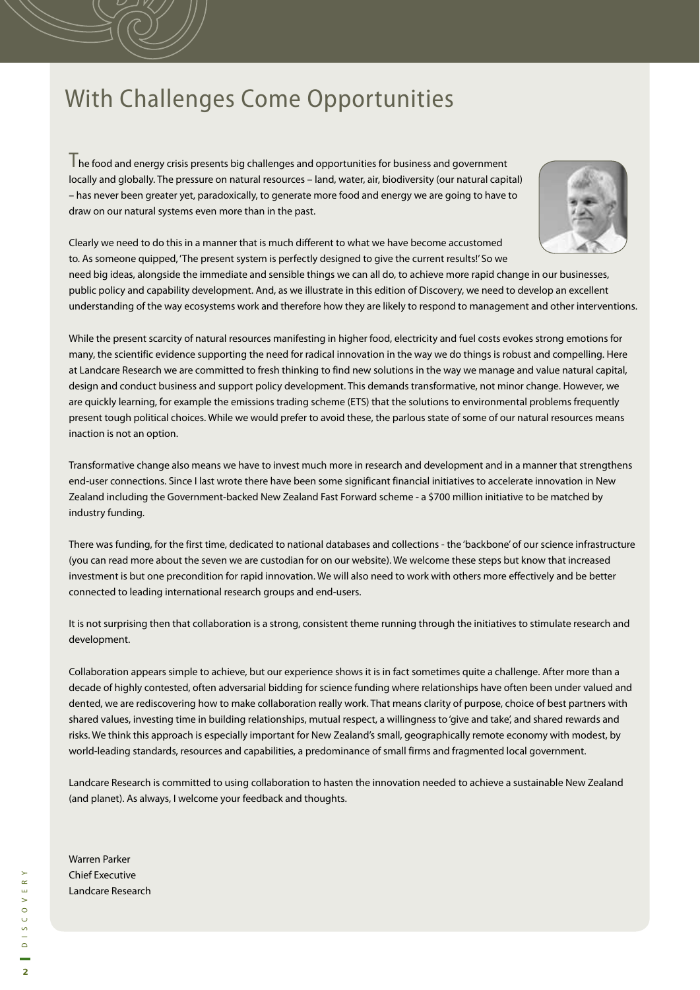# With Challenges Come Opportunities

The food and energy crisis presents big challenges and opportunities for business and government locally and globally. The pressure on natural resources – land, water, air, biodiversity (our natural capital) – has never been greater yet, paradoxically, to generate more food and energy we are going to have to draw on our natural systems even more than in the past.



Clearly we need to do this in a manner that is much different to what we have become accustomed to. As someone quipped, 'The present system is perfectly designed to give the current results!' So we

need big ideas, alongside the immediate and sensible things we can all do, to achieve more rapid change in our businesses, public policy and capability development. And, as we illustrate in this edition of Discovery, we need to develop an excellent understanding of the way ecosystems work and therefore how they are likely to respond to management and other interventions.

While the present scarcity of natural resources manifesting in higher food, electricity and fuel costs evokes strong emotions for many, the scientific evidence supporting the need for radical innovation in the way we do things is robust and compelling. Here at Landcare Research we are committed to fresh thinking to find new solutions in the way we manage and value natural capital, design and conduct business and support policy development. This demands transformative, not minor change. However, we are quickly learning, for example the emissions trading scheme (ETS) that the solutions to environmental problems frequently present tough political choices. While we would prefer to avoid these, the parlous state of some of our natural resources means inaction is not an option.

Transformative change also means we have to invest much more in research and development and in a manner that strengthens end-user connections. Since I last wrote there have been some significant financial initiatives to accelerate innovation in New Zealand including the Government-backed New Zealand Fast Forward scheme - a \$700 million initiative to be matched by industry funding.

There was funding, for the first time, dedicated to national databases and collections - the 'backbone' of our science infrastructure (you can read more about the seven we are custodian for on our website). We welcome these steps but know that increased investment is but one precondition for rapid innovation. We will also need to work with others more effectively and be better connected to leading international research groups and end-users.

It is not surprising then that collaboration is a strong, consistent theme running through the initiatives to stimulate research and development.

Collaboration appears simple to achieve, but our experience shows it is in fact sometimes quite a challenge. After more than a decade of highly contested, often adversarial bidding for science funding where relationships have often been under valued and dented, we are rediscovering how to make collaboration really work. That means clarity of purpose, choice of best partners with shared values, investing time in building relationships, mutual respect, a willingness to 'give and take', and shared rewards and risks. We think this approach is especially important for New Zealand's small, geographically remote economy with modest, by world-leading standards, resources and capabilities, a predominance of small firms and fragmented local government.

Landcare Research is committed to using collaboration to hasten the innovation needed to achieve a sustainable New Zealand (and planet). As always, I welcome your feedback and thoughts.

Warren Parker Chief Executive Landcare Research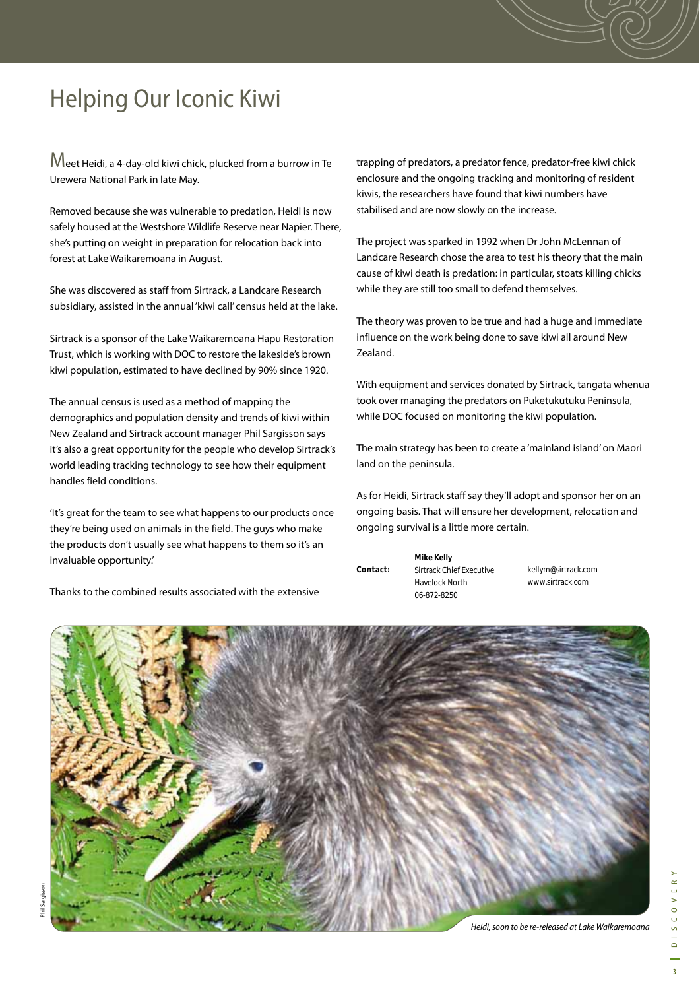# Helping Our Iconic Kiwi

Meet Heidi, a 4-day-old kiwi chick, plucked from a burrow in Te Urewera National Park in late May.

Removed because she was vulnerable to predation, Heidi is now safely housed at the Westshore Wildlife Reserve near Napier. There, she's putting on weight in preparation for relocation back into forest at Lake Waikaremoana in August.

She was discovered as staff from Sirtrack, a Landcare Research subsidiary, assisted in the annual 'kiwi call' census held at the lake.

Sirtrack is a sponsor of the Lake Waikaremoana Hapu Restoration Trust, which is working with DOC to restore the lakeside's brown kiwi population, estimated to have declined by 90% since 1920.

The annual census is used as a method of mapping the demographics and population density and trends of kiwi within New Zealand and Sirtrack account manager Phil Sargisson says it's also a great opportunity for the people who develop Sirtrack's world leading tracking technology to see how their equipment handles field conditions.

'It's great for the team to see what happens to our products once they're being used on animals in the field. The guys who make the products don't usually see what happens to them so it's an invaluable opportunity.'

Thanks to the combined results associated with the extensive

trapping of predators, a predator fence, predator-free kiwi chick enclosure and the ongoing tracking and monitoring of resident kiwis, the researchers have found that kiwi numbers have stabilised and are now slowly on the increase.

The project was sparked in 1992 when Dr John McLennan of Landcare Research chose the area to test his theory that the main cause of kiwi death is predation: in particular, stoats killing chicks while they are still too small to defend themselves.

The theory was proven to be true and had a huge and immediate influence on the work being done to save kiwi all around New Zealand.

With equipment and services donated by Sirtrack, tangata whenua took over managing the predators on Puketukutuku Peninsula, while DOC focused on monitoring the kiwi population.

The main strategy has been to create a 'mainland island' on Maori land on the peninsula.

As for Heidi, Sirtrack staff say they'll adopt and sponsor her on an ongoing basis. That will ensure her development, relocation and ongoing survival is a little more certain.

**Mike Kelly** Sirtrack Chief Executive Havelock North 06-872-8250 **Contact:** 

kellym@sirtrack.com www.sirtrack.com

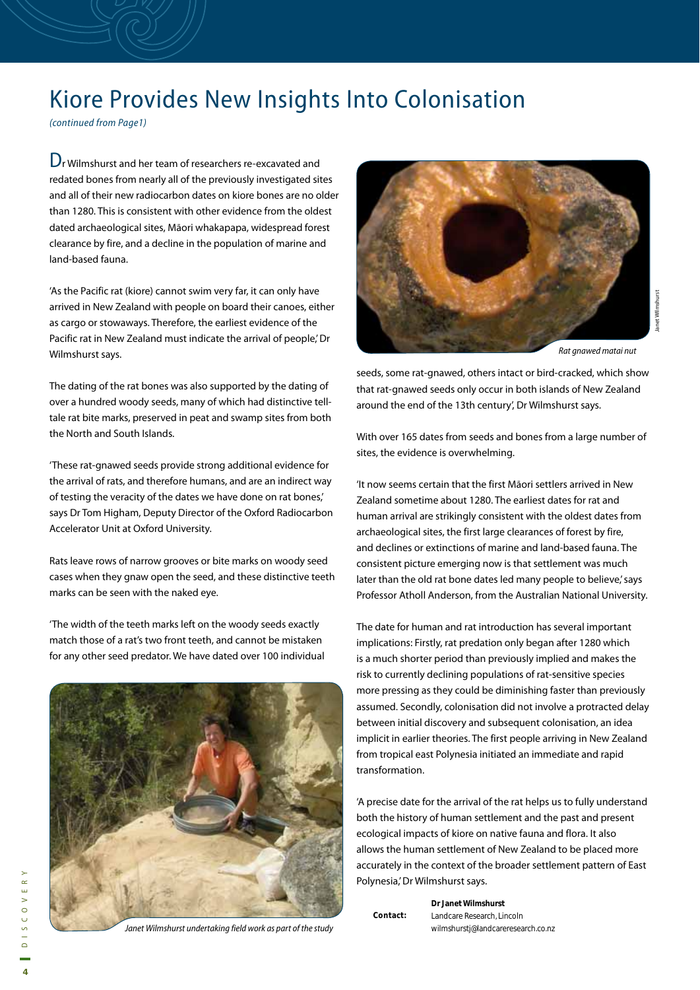## Kiore Provides New Insights Into Colonisation

(continued from Page1)

Dr Wilmshurst and her team of researchers re-excavated and redated bones from nearly all of the previously investigated sites and all of their new radiocarbon dates on kiore bones are no older than 1280. This is consistent with other evidence from the oldest dated archaeological sites, Māori whakapapa, widespread forest clearance by fire, and a decline in the population of marine and land-based fauna.

'As the Pacific rat (kiore) cannot swim very far, it can only have arrived in New Zealand with people on board their canoes, either as cargo or stowaways. Therefore, the earliest evidence of the Pacific rat in New Zealand must indicate the arrival of people,' Dr Wilmshurst says.

The dating of the rat bones was also supported by the dating of over a hundred woody seeds, many of which had distinctive telltale rat bite marks, preserved in peat and swamp sites from both the North and South Islands.

'These rat-gnawed seeds provide strong additional evidence for the arrival of rats, and therefore humans, and are an indirect way of testing the veracity of the dates we have done on rat bones,' says Dr Tom Higham, Deputy Director of the Oxford Radiocarbon Accelerator Unit at Oxford University.

Rats leave rows of narrow grooves or bite marks on woody seed cases when they gnaw open the seed, and these distinctive teeth marks can be seen with the naked eye.

'The width of the teeth marks left on the woody seeds exactly match those of a rat's two front teeth, and cannot be mistaken for any other seed predator. We have dated over 100 individual



Janet Wilmshurst undertaking field work as part of the study



Janet WIlmshurst

seeds, some rat-gnawed, others intact or bird-cracked, which show that rat-gnawed seeds only occur in both islands of New Zealand around the end of the 13th century', Dr Wilmshurst says.

With over 165 dates from seeds and bones from a large number of sites, the evidence is overwhelming.

'It now seems certain that the first Māori settlers arrived in New Zealand sometime about 1280. The earliest dates for rat and human arrival are strikingly consistent with the oldest dates from archaeological sites, the first large clearances of forest by fire, and declines or extinctions of marine and land-based fauna. The consistent picture emerging now is that settlement was much later than the old rat bone dates led many people to believe,' says Professor Atholl Anderson, from the Australian National University.

The date for human and rat introduction has several important implications: Firstly, rat predation only began after 1280 which is a much shorter period than previously implied and makes the risk to currently declining populations of rat-sensitive species more pressing as they could be diminishing faster than previously assumed. Secondly, colonisation did not involve a protracted delay between initial discovery and subsequent colonisation, an idea implicit in earlier theories. The first people arriving in New Zealand from tropical east Polynesia initiated an immediate and rapid transformation.

'A precise date for the arrival of the rat helps us to fully understand both the history of human settlement and the past and present ecological impacts of kiore on native fauna and flora. It also allows the human settlement of New Zealand to be placed more accurately in the context of the broader settlement pattern of East Polynesia,' Dr Wilmshurst says.

|          | <b>Dr Janet Wilmshurst</b>         |
|----------|------------------------------------|
| Contact: | Landcare Research, Lincoln         |
|          | wilmshurstj@landcareresearch.co.nz |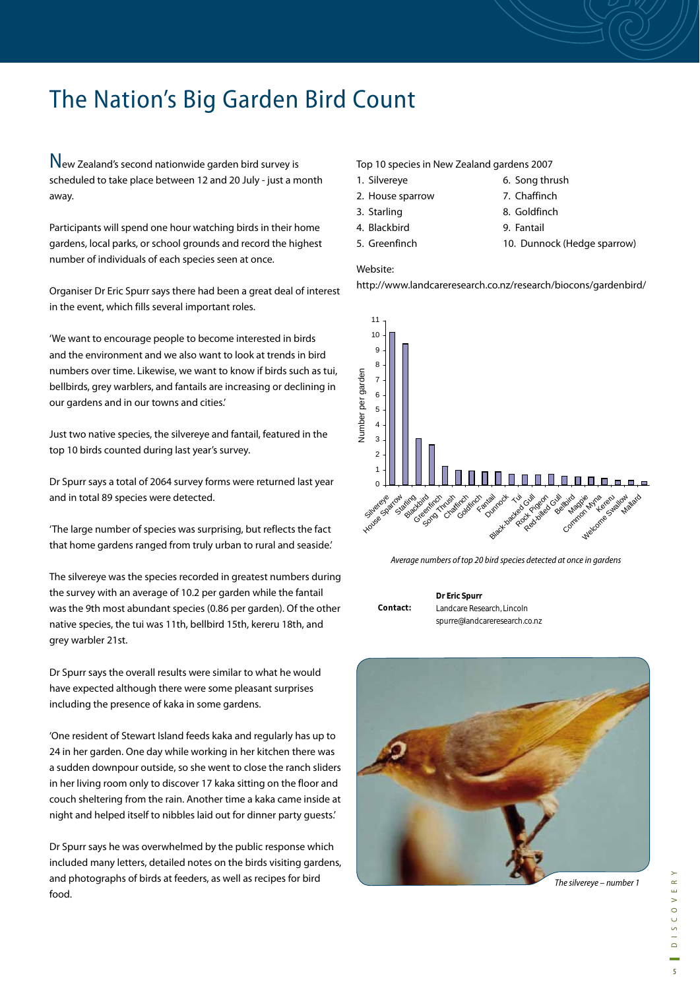# The Nation's Big Garden Bird Count

New Zealand's second nationwide garden bird survey is scheduled to take place between 12 and 20 July - just a month away.

Participants will spend one hour watching birds in their home gardens, local parks, or school grounds and record the highest number of individuals of each species seen at once.

Organiser Dr Eric Spurr says there had been a great deal of interest in the event, which fills several important roles.

'We want to encourage people to become interested in birds and the environment and we also want to look at trends in bird numbers over time. Likewise, we want to know if birds such as tui, bellbirds, grey warblers, and fantails are increasing or declining in our gardens and in our towns and cities.'

Just two native species, the silvereye and fantail, featured in the top 10 birds counted during last year's survey.

Dr Spurr says a total of 2064 survey forms were returned last year and in total 89 species were detected.

'The large number of species was surprising, but reflects the fact that home gardens ranged from truly urban to rural and seaside.'

The silvereye was the species recorded in greatest numbers during the survey with an average of 10.2 per garden while the fantail was the 9th most abundant species (0.86 per garden). Of the other native species, the tui was 11th, bellbird 15th, kereru 18th, and grey warbler 21st.

Dr Spurr says the overall results were similar to what he would have expected although there were some pleasant surprises including the presence of kaka in some gardens.

'One resident of Stewart Island feeds kaka and regularly has up to 24 in her garden. One day while working in her kitchen there was a sudden downpour outside, so she went to close the ranch sliders in her living room only to discover 17 kaka sitting on the floor and couch sheltering from the rain. Another time a kaka came inside at night and helped itself to nibbles laid out for dinner party guests.'

Dr Spurr says he was overwhelmed by the public response which included many letters, detailed notes on the birds visiting gardens, and photographs of birds at feeders, as well as recipes for bird food.

## Top 10 species in New Zealand gardens 2007

- 1. Silvereye
- 2. House sparrow
- 3. Starling 4. Blackbird
- 5. Greenfinch

Website:

http://www.landcareresearch.co.nz/research/biocons/gardenbird/

6. Song thrush 7. Chaffinch 8. Goldfinch 9. Fantail

10. Dunnock (Hedge sparrow)



Average numbers of top 20 bird species detected at once in gardens

**Contact:** 

**Dr Eric Spurr** Landcare Research, Lincoln spurre@landcareresearch.co.nz

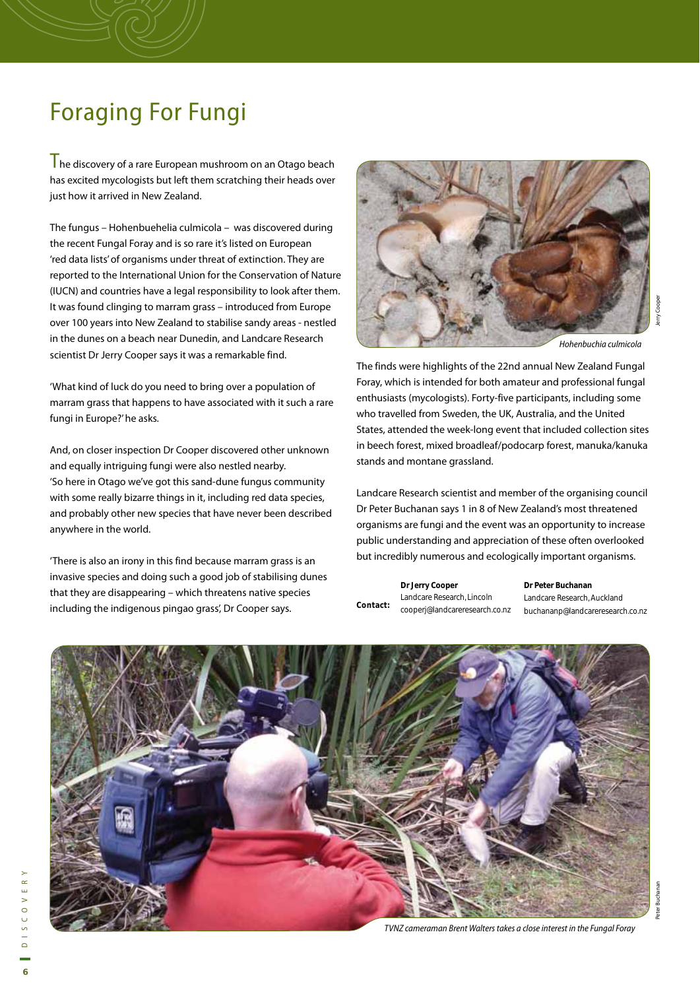# Foraging For Fungi

 $\overline{\mathsf{T}}$  he discovery of a rare European mushroom on an Otago beach has excited mycologists but left them scratching their heads over just how it arrived in New Zealand.

The fungus – Hohenbuehelia culmicola – was discovered during the recent Fungal Foray and is so rare it's listed on European 'red data lists' of organisms under threat of extinction. They are reported to the International Union for the Conservation of Nature (IUCN) and countries have a legal responsibility to look after them. It was found clinging to marram grass – introduced from Europe over 100 years into New Zealand to stabilise sandy areas - nestled in the dunes on a beach near Dunedin, and Landcare Research scientist Dr Jerry Cooper says it was a remarkable find.

'What kind of luck do you need to bring over a population of marram grass that happens to have associated with it such a rare fungi in Europe?' he asks.

And, on closer inspection Dr Cooper discovered other unknown and equally intriguing fungi were also nestled nearby. 'So here in Otago we've got this sand-dune fungus community with some really bizarre things in it, including red data species, and probably other new species that have never been described anywhere in the world.

'There is also an irony in this find because marram grass is an invasive species and doing such a good job of stabilising dunes that they are disappearing – which threatens native species including the indigenous pingao grass', Dr Cooper says.



The finds were highlights of the 22nd annual New Zealand Fungal Foray, which is intended for both amateur and professional fungal enthusiasts (mycologists). Forty-five participants, including some who travelled from Sweden, the UK, Australia, and the United States, attended the week-long event that included collection sites in beech forest, mixed broadleaf/podocarp forest, manuka/kanuka stands and montane grassland.

Landcare Research scientist and member of the organising council Dr Peter Buchanan says 1 in 8 of New Zealand's most threatened organisms are fungi and the event was an opportunity to increase public understanding and appreciation of these often overlooked but incredibly numerous and ecologically important organisms.

|          | Dr Jerry Cooper                | Dr Peter Bu |
|----------|--------------------------------|-------------|
| Contact: | Landcare Research, Lincoln     | Landcare Re |
|          | cooperj@landcareresearch.co.nz | buchananp   |

**Dr Peter Buchanan** esearch, Auckland buchananp@landcareresearch.co.nz



TVNZ cameraman Brent Walters takes a close interest in the Fungal Foray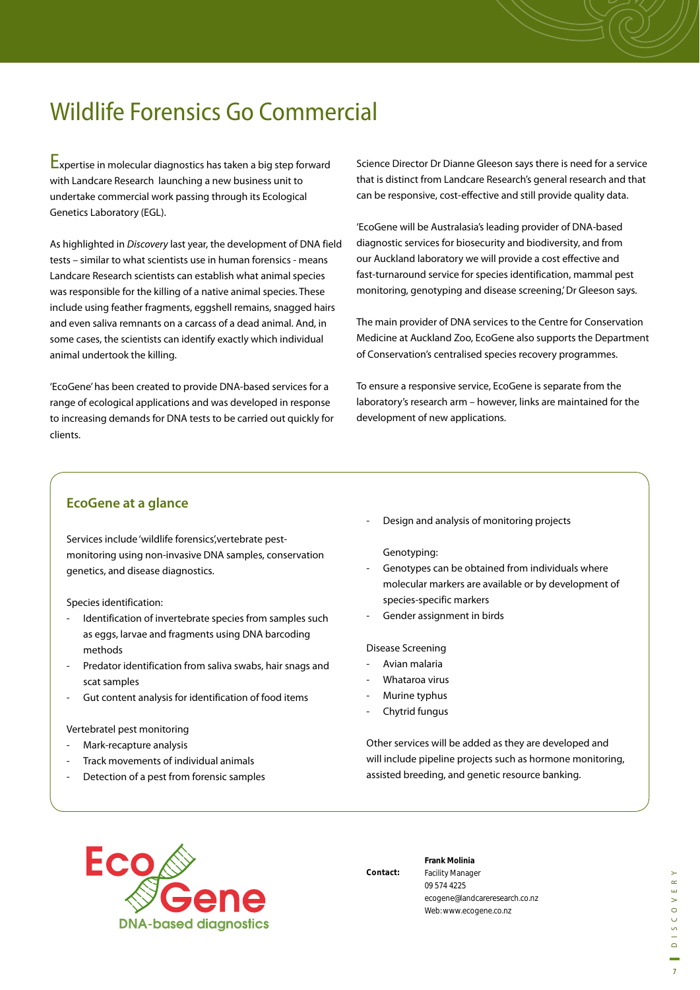# Wildlife Forensics Go Commercial

Expertise in molecular diagnostics has taken a big step forward with Landcare Research launching a new business unit to undertake commercial work passing through its Ecological Genetics Laboratory (EGL).

As highlighted in Discovery last year, the development of DNA field tests – similar to what scientists use in human forensics - means Landcare Research scientists can establish what animal species was responsible for the killing of a native animal species. These include using feather fragments, eggshell remains, snagged hairs and even saliva remnants on a carcass of a dead animal. And, in some cases, the scientists can identify exactly which individual animal undertook the killing.

'EcoGene' has been created to provide DNA-based services for a range of ecological applications and was developed in response to increasing demands for DNA tests to be carried out quickly for clients.

Science Director Dr Dianne Gleeson says there is need for a service that is distinct from Landcare Research's general research and that can be responsive, cost-effective and still provide quality data.

'EcoGene will be Australasia's leading provider of DNA-based diagnostic services for biosecurity and biodiversity, and from our Auckland laboratory we will provide a cost effective and fast-turnaround service for species identification, mammal pest monitoring, genotyping and disease screening,' Dr Gleeson says.

The main provider of DNA services to the Centre for Conservation Medicine at Auckland Zoo, EcoGene also supports the Department of Conservation's centralised species recovery programmes.

To ensure a responsive service, EcoGene is separate from the laboratory's research arm – however, links are maintained for the development of new applications.

## **EcoGene at a glance**

Services include 'wildlife forensics',vertebrate pestmonitoring using non-invasive DNA samples, conservation genetics, and disease diagnostics.

Species identification:

- Identification of invertebrate species from samples such as eggs, larvae and fragments using DNA barcoding methods
- Predator identification from saliva swabs, hair snags and scat samples
- Gut content analysis for identification of food items

## Vertebratel pest monitoring

- Mark-recapture analysis
- Track movements of individual animals
- Detection of a pest from forensic samples

Design and analysis of monitoring projects

Genotyping:

- Genotypes can be obtained from individuals where molecular markers are available or by development of species-specific markers
- Gender assignment in birds

### Disease Screening

- Avian malaria
- Whataroa virus
- Murine typhus
- Chytrid fungus

Other services will be added as they are developed and will include pipeline projects such as hormone monitoring, assisted breeding, and genetic resource banking.



**Contact:** 

**Frank Molinia** Facility Manager 09 574 4225 ecogene@landcareresearch.co.nz Web: www.ecogene.co.nz